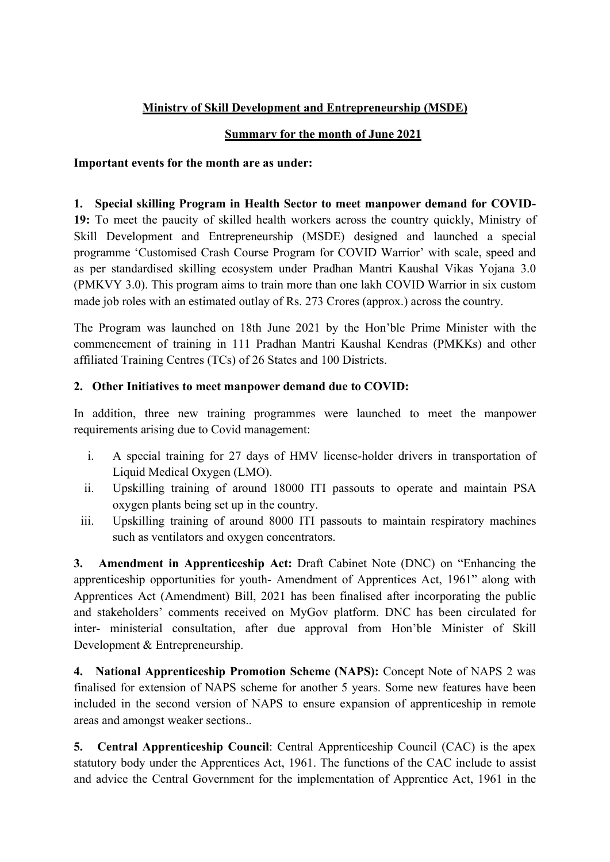# Ministry of Skill Development and Entrepreneurship (MSDE)

## Summary for the month of June 2021

#### Important events for the month are as under:

## 1. Special skilling Program in Health Sector to meet manpower demand for COVID-

19: To meet the paucity of skilled health workers across the country quickly, Ministry of Skill Development and Entrepreneurship (MSDE) designed and launched a special programme 'Customised Crash Course Program for COVID Warrior' with scale, speed and as per standardised skilling ecosystem under Pradhan Mantri Kaushal Vikas Yojana 3.0 (PMKVY 3.0). This program aims to train more than one lakh COVID Warrior in six custom made job roles with an estimated outlay of Rs. 273 Crores (approx.) across the country.

The Program was launched on 18th June 2021 by the Hon'ble Prime Minister with the commencement of training in 111 Pradhan Mantri Kaushal Kendras (PMKKs) and other affiliated Training Centres (TCs) of 26 States and 100 Districts.

### 2. Other Initiatives to meet manpower demand due to COVID:

In addition, three new training programmes were launched to meet the manpower requirements arising due to Covid management:

- i. A special training for 27 days of HMV license-holder drivers in transportation of Liquid Medical Oxygen (LMO).
- ii. Upskilling training of around 18000 ITI passouts to operate and maintain PSA oxygen plants being set up in the country.
- iii. Upskilling training of around 8000 ITI passouts to maintain respiratory machines such as ventilators and oxygen concentrators.

3. Amendment in Apprenticeship Act: Draft Cabinet Note (DNC) on "Enhancing the apprenticeship opportunities for youth- Amendment of Apprentices Act, 1961" along with Apprentices Act (Amendment) Bill, 2021 has been finalised after incorporating the public and stakeholders' comments received on MyGov platform. DNC has been circulated for inter- ministerial consultation, after due approval from Hon'ble Minister of Skill Development & Entrepreneurship.

4. National Apprenticeship Promotion Scheme (NAPS): Concept Note of NAPS 2 was finalised for extension of NAPS scheme for another 5 years. Some new features have been included in the second version of NAPS to ensure expansion of apprenticeship in remote areas and amongst weaker sections..

5. Central Apprenticeship Council: Central Apprenticeship Council (CAC) is the apex statutory body under the Apprentices Act, 1961. The functions of the CAC include to assist and advice the Central Government for the implementation of Apprentice Act, 1961 in the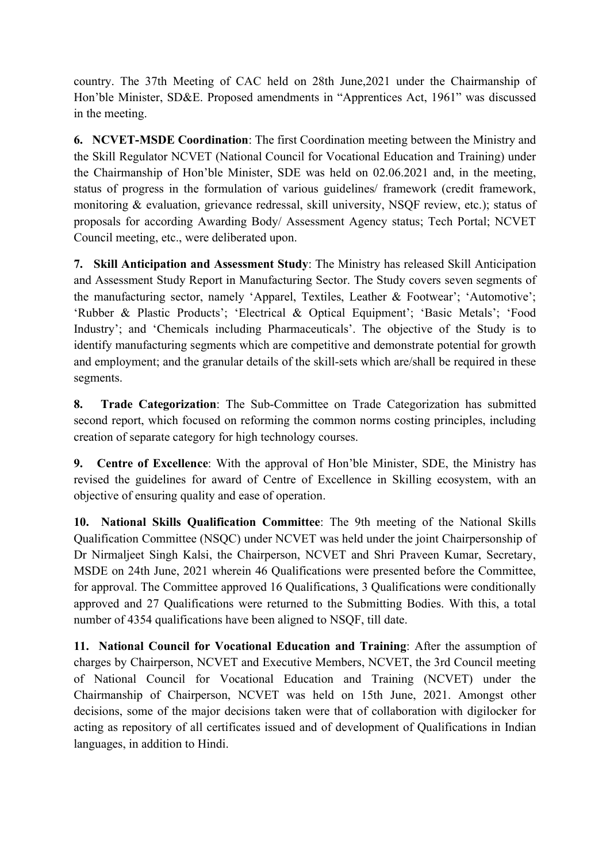country. The 37th Meeting of CAC held on 28th June,2021 under the Chairmanship of Hon'ble Minister, SD&E. Proposed amendments in "Apprentices Act, 1961" was discussed in the meeting.

6. NCVET-MSDE Coordination: The first Coordination meeting between the Ministry and the Skill Regulator NCVET (National Council for Vocational Education and Training) under the Chairmanship of Hon'ble Minister, SDE was held on 02.06.2021 and, in the meeting, status of progress in the formulation of various guidelines/ framework (credit framework, monitoring & evaluation, grievance redressal, skill university, NSQF review, etc.); status of proposals for according Awarding Body/ Assessment Agency status; Tech Portal; NCVET Council meeting, etc., were deliberated upon.

7. Skill Anticipation and Assessment Study: The Ministry has released Skill Anticipation and Assessment Study Report in Manufacturing Sector. The Study covers seven segments of the manufacturing sector, namely 'Apparel, Textiles, Leather & Footwear'; 'Automotive'; 'Rubber & Plastic Products'; 'Electrical & Optical Equipment'; 'Basic Metals'; 'Food Industry'; and 'Chemicals including Pharmaceuticals'. The objective of the Study is to identify manufacturing segments which are competitive and demonstrate potential for growth and employment; and the granular details of the skill-sets which are/shall be required in these segments.

8. Trade Categorization: The Sub-Committee on Trade Categorization has submitted second report, which focused on reforming the common norms costing principles, including creation of separate category for high technology courses.

9. Centre of Excellence: With the approval of Hon'ble Minister, SDE, the Ministry has revised the guidelines for award of Centre of Excellence in Skilling ecosystem, with an objective of ensuring quality and ease of operation.

10. National Skills Qualification Committee: The 9th meeting of the National Skills Qualification Committee (NSQC) under NCVET was held under the joint Chairpersonship of Dr Nirmaljeet Singh Kalsi, the Chairperson, NCVET and Shri Praveen Kumar, Secretary, MSDE on 24th June, 2021 wherein 46 Qualifications were presented before the Committee, for approval. The Committee approved 16 Qualifications, 3 Qualifications were conditionally approved and 27 Qualifications were returned to the Submitting Bodies. With this, a total number of 4354 qualifications have been aligned to NSQF, till date.

11. National Council for Vocational Education and Training: After the assumption of charges by Chairperson, NCVET and Executive Members, NCVET, the 3rd Council meeting of National Council for Vocational Education and Training (NCVET) under the Chairmanship of Chairperson, NCVET was held on 15th June, 2021. Amongst other decisions, some of the major decisions taken were that of collaboration with digilocker for acting as repository of all certificates issued and of development of Qualifications in Indian languages, in addition to Hindi.